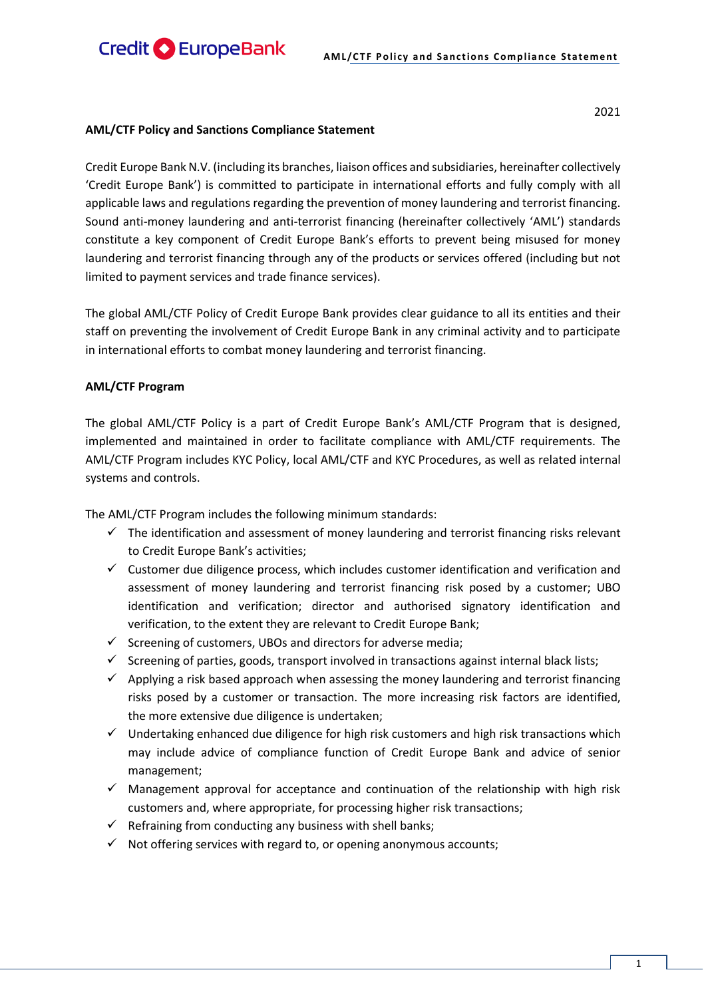

## **AML/CTF Policy and Sanctions Compliance Statement**

Credit Europe Bank N.V. (including its branches, liaison offices and subsidiaries, hereinafter collectively 'Credit Europe Bank') is committed to participate in international efforts and fully comply with all applicable laws and regulations regarding the prevention of money laundering and terrorist financing. Sound anti-money laundering and anti-terrorist financing (hereinafter collectively 'AML') standards constitute a key component of Credit Europe Bank's efforts to prevent being misused for money laundering and terrorist financing through any of the products or services offered (including but not limited to payment services and trade finance services).

The global AML/CTF Policy of Credit Europe Bank provides clear guidance to all its entities and their staff on preventing the involvement of Credit Europe Bank in any criminal activity and to participate in international efforts to combat money laundering and terrorist financing.

## **AML/CTF Program**

The global AML/CTF Policy is a part of Credit Europe Bank's AML/CTF Program that is designed, implemented and maintained in order to facilitate compliance with AML/CTF requirements. The AML/CTF Program includes KYC Policy, local AML/CTF and KYC Procedures, as well as related internal systems and controls.

The AML/CTF Program includes the following minimum standards:

- $\checkmark$  The identification and assessment of money laundering and terrorist financing risks relevant to Credit Europe Bank's activities;
- $\checkmark$  Customer due diligence process, which includes customer identification and verification and assessment of money laundering and terrorist financing risk posed by a customer; UBO identification and verification; director and authorised signatory identification and verification, to the extent they are relevant to Credit Europe Bank;
- $\checkmark$  Screening of customers, UBOs and directors for adverse media;
- $\checkmark$  Screening of parties, goods, transport involved in transactions against internal black lists;
- $\checkmark$  Applying a risk based approach when assessing the money laundering and terrorist financing risks posed by a customer or transaction. The more increasing risk factors are identified, the more extensive due diligence is undertaken;
- $\checkmark$  Undertaking enhanced due diligence for high risk customers and high risk transactions which may include advice of compliance function of Credit Europe Bank and advice of senior management;
- $\checkmark$  Management approval for acceptance and continuation of the relationship with high risk customers and, where appropriate, for processing higher risk transactions;
- $\checkmark$  Refraining from conducting any business with shell banks;
- $\checkmark$  Not offering services with regard to, or opening anonymous accounts;

2021